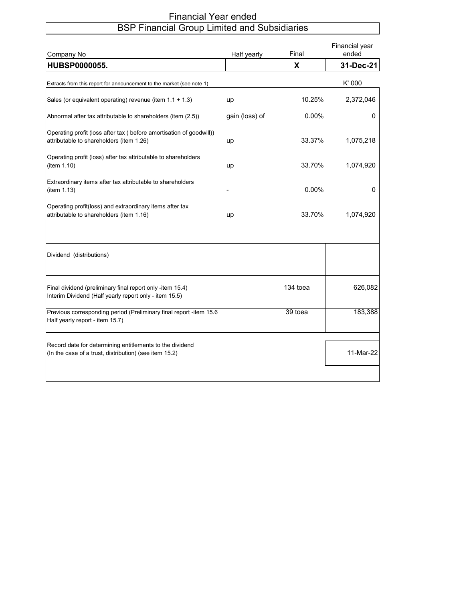## Financial Year ended BSP Financial Group Limited and Subsidiaries

| Company No                                                                                                          | Half yearly    | Final    | Financial year<br>ended |
|---------------------------------------------------------------------------------------------------------------------|----------------|----------|-------------------------|
| HUBSP0000055.                                                                                                       |                | X        | 31-Dec-21               |
| Extracts from this report for announcement to the market (see note 1)                                               |                |          | K' 000                  |
| Sales (or equivalent operating) revenue (item 1.1 + 1.3)                                                            | up             | 10.25%   | 2,372,046               |
| Abnormal after tax attributable to shareholders (item (2.5))                                                        | gain (loss) of | 0.00%    | 0                       |
| Operating profit (loss after tax ( before amortisation of goodwill))<br>attributable to shareholders (item 1.26)    | up             | 33.37%   | 1,075,218               |
| Operating profit (loss) after tax attributable to shareholders<br>(item 1.10)                                       | up             | 33.70%   | 1,074,920               |
| Extraordinary items after tax attributable to shareholders<br>(item 1.13)                                           |                | 0.00%    | 0                       |
| Operating profit(loss) and extraordinary items after tax<br>attributable to shareholders (item 1.16)                | up             | 33.70%   | 1,074,920               |
| Dividend (distributions)                                                                                            |                |          |                         |
| Final dividend (preliminary final report only -item 15.4)<br>Interim Dividend (Half yearly report only - item 15.5) |                | 134 toea | 626,082                 |
| Previous corresponding period (Preliminary final report -item 15.6<br>Half yearly report - item 15.7)               |                | 39 toea  | 183,388                 |
| Record date for determining entitlements to the dividend<br>(In the case of a trust, distribution) (see item 15.2)  |                |          | 11-Mar-22               |
|                                                                                                                     |                |          |                         |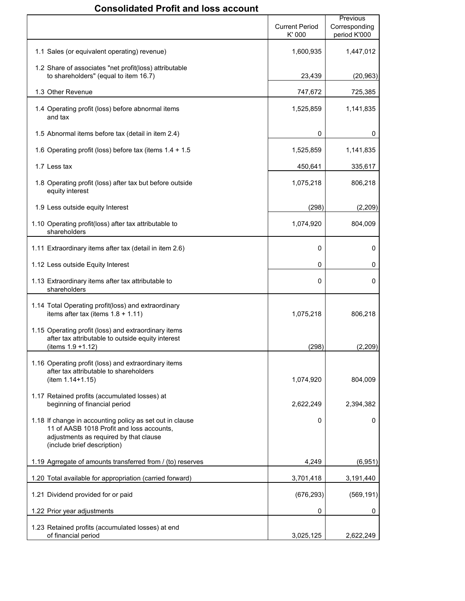# **Consolidated Profit and loss account**

|                                                                                                                                                                                | <b>Current Period</b><br>K'000 | Previous<br>Corresponding<br>period K'000 |
|--------------------------------------------------------------------------------------------------------------------------------------------------------------------------------|--------------------------------|-------------------------------------------|
| 1.1 Sales (or equivalent operating) revenue)                                                                                                                                   | 1,600,935                      | 1,447,012                                 |
| 1.2 Share of associates "net profit(loss) attributable<br>to shareholders" (equal to item 16.7)                                                                                | 23,439                         | (20, 963)                                 |
| 1.3 Other Revenue                                                                                                                                                              | 747,672                        | 725,385                                   |
| 1.4 Operating profit (loss) before abnormal items<br>and tax                                                                                                                   | 1,525,859                      | 1,141,835                                 |
| 1.5 Abnormal items before tax (detail in item 2.4)                                                                                                                             | 0                              | 0                                         |
| 1.6 Operating profit (loss) before tax (items $1.4 + 1.5$                                                                                                                      | 1,525,859                      | 1,141,835                                 |
| 1.7 Less tax                                                                                                                                                                   | 450,641                        | 335,617                                   |
| 1.8 Operating profit (loss) after tax but before outside<br>equity interest                                                                                                    | 1,075,218                      | 806,218                                   |
| 1.9 Less outside equity Interest                                                                                                                                               | (298)                          | (2,209)                                   |
| 1.10 Operating profit(loss) after tax attributable to<br>shareholders                                                                                                          | 1,074,920                      | 804,009                                   |
| 1.11 Extraordinary items after tax (detail in item 2.6)                                                                                                                        | 0                              | 0                                         |
| 1.12 Less outside Equity Interest                                                                                                                                              | 0                              | 0                                         |
| 1.13 Extraordinary items after tax attributable to<br>shareholders                                                                                                             | 0                              | 0                                         |
| 1.14 Total Operating profit(loss) and extraordinary<br>items after tax (items $1.8 + 1.11$ )                                                                                   | 1,075,218                      | 806,218                                   |
| 1.15 Operating profit (loss) and extraordinary items<br>after tax attributable to outside equity interest<br>(items $1.9 + 1.12$ )                                             | (298)                          | (2,209)                                   |
| 1.16 Operating profit (loss) and extraordinary items<br>after tax attributable to shareholders<br>$(item 1.14+1.15)$                                                           | 1,074,920                      | 804,009                                   |
| 1.17 Retained profits (accumulated losses) at<br>beginning of financial period                                                                                                 | 2,622,249                      | 2,394,382                                 |
| 1.18 If change in accounting policy as set out in clause<br>11 of AASB 1018 Profit and loss accounts,<br>adjustments as required by that clause<br>(include brief description) | 0                              | 0                                         |
| 1.19 Agrregate of amounts transferred from / (to) reserves                                                                                                                     | 4,249                          | (6,951)                                   |
| 1.20 Total available for appropriation (carried forward)                                                                                                                       | 3,701,418                      | 3,191,440                                 |
| 1.21 Dividend provided for or paid                                                                                                                                             | (676, 293)                     | (569, 191)                                |
| 1.22 Prior year adjustments                                                                                                                                                    | 0                              | 0                                         |
| 1.23 Retained profits (accumulated losses) at end<br>of financial period                                                                                                       | 3,025,125                      | 2,622,249                                 |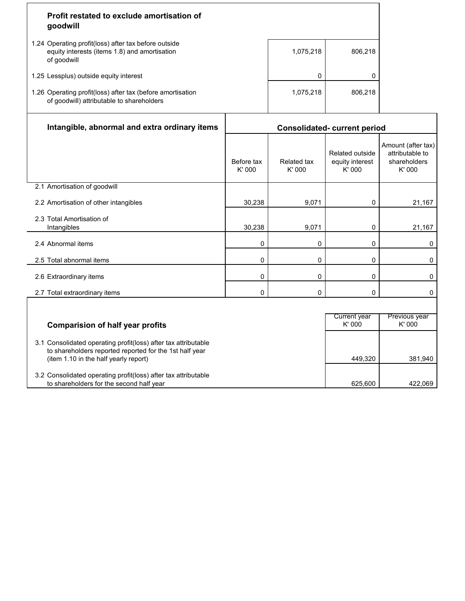| Profit restated to exclude amortisation of<br>goodwill                                                               |           |         |
|----------------------------------------------------------------------------------------------------------------------|-----------|---------|
| 1.24 Operating profit(loss) after tax before outside<br>equity interests (items 1.8) and amortisation<br>of goodwill | 1,075,218 | 806.218 |
| 1.25 Lessplus) outside equity interest                                                                               |           |         |
| 1.26 Operating profit(loss) after tax (before amortisation<br>of goodwill) attributable to shareholders              | 1,075,218 | 806.218 |
|                                                                                                                      |           |         |

| Intangible, abnormal and extra ordinary items                                                                                                                      | <b>Consolidated- current period</b> |                              |                                              |                                                                |
|--------------------------------------------------------------------------------------------------------------------------------------------------------------------|-------------------------------------|------------------------------|----------------------------------------------|----------------------------------------------------------------|
|                                                                                                                                                                    | Before tax<br>K' 000                | <b>Related tax</b><br>K' 000 | Related outside<br>equity interest<br>K' 000 | Amount (after tax)<br>attributable to<br>shareholders<br>K'000 |
| 2.1 Amortisation of goodwill                                                                                                                                       |                                     |                              |                                              |                                                                |
| 2.2 Amortisation of other intangibles                                                                                                                              | 30,238                              | 9,071                        | 0                                            | 21,167                                                         |
| 2.3 Total Amortisation of<br>Intangibles                                                                                                                           | 30,238                              | 9,071                        | 0                                            | 21,167                                                         |
| 2.4 Abnormal items                                                                                                                                                 | 0                                   | $\mathbf{0}$                 | 0                                            | 0                                                              |
| 2.5 Total abnormal items                                                                                                                                           | 0                                   | 0                            | 0                                            | 0                                                              |
| 2.6 Extraordinary items                                                                                                                                            | 0                                   | 0                            | 0                                            | 0                                                              |
| 2.7 Total extraordinary items                                                                                                                                      | 0                                   | $\Omega$                     | 0                                            | 0                                                              |
|                                                                                                                                                                    |                                     |                              |                                              |                                                                |
| <b>Comparision of half year profits</b>                                                                                                                            |                                     |                              | <b>Current year</b><br>K' 000                | Previous year<br>K'000                                         |
| 3.1 Consolidated operating profit(loss) after tax attributable<br>to shareholders reported reported for the 1st half year<br>(item 1.10 in the half yearly report) |                                     |                              | 449,320                                      | 381,940                                                        |
| 3.2 Consolidated operating profit(loss) after tax attributable                                                                                                     |                                     |                              |                                              |                                                                |

ן

to shareholders for the second half year 625,600 **422,069** 625,600 422,069 422,069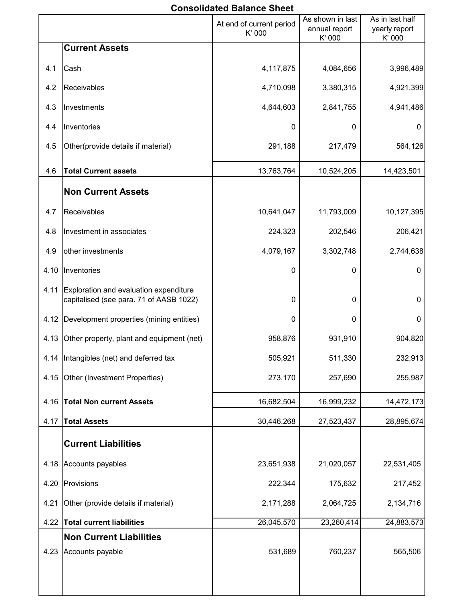# **Consolidated Balance Sheet**

|      |                                                                                   | At end of current period<br>K' 000 | As shown in last<br>annual report<br>K' 000 | As in last half<br>yearly report<br>K' 000 |
|------|-----------------------------------------------------------------------------------|------------------------------------|---------------------------------------------|--------------------------------------------|
|      | <b>Current Assets</b>                                                             |                                    |                                             |                                            |
| 4.1  | Cash                                                                              | 4,117,875                          | 4,084,656                                   | 3,996,489                                  |
| 4.2  | Receivables                                                                       | 4,710,098                          | 3,380,315                                   | 4,921,399                                  |
| 4.3  | Investments                                                                       | 4,644,603                          | 2,841,755                                   | 4,941,486                                  |
| 4.4  | Inventories                                                                       | 0                                  | 0                                           | 0                                          |
| 4.5  | Other(provide details if material)                                                | 291,188                            | 217,479                                     | 564,126                                    |
| 4.6  | <b>Total Current assets</b>                                                       | 13,763,764                         | 10,524,205                                  | 14,423,501                                 |
|      | <b>Non Current Assets</b>                                                         |                                    |                                             |                                            |
| 4.7  | Receivables                                                                       | 10,641,047                         | 11,793,009                                  | 10,127,395                                 |
| 4.8  | Investment in associates                                                          | 224,323                            | 202,546                                     | 206,421                                    |
| 4.9  | other investments                                                                 | 4,079,167                          | 3,302,748                                   | 2,744,638                                  |
| 4.10 | Inventories                                                                       | 0                                  | $\mathbf 0$                                 | $\mathbf 0$                                |
| 4.11 | Exploration and evaluation expenditure<br>capitalised (see para. 71 of AASB 1022) | 0                                  | $\Omega$                                    | $\mathbf{0}$                               |
| 4.12 | Development properties (mining entities)                                          | 0                                  | 0                                           | 0                                          |
| 4.13 | Other property, plant and equipment (net)                                         | 958,876                            | 931,910                                     | 904,820                                    |
| 4.14 | Intangibles (net) and deferred tax                                                | 505,921                            | 511,330                                     | 232,913                                    |
| 4.15 | Other (Investment Properties)                                                     | 273,170                            | 257,690                                     | 255,987                                    |
| 4.16 | <b>Total Non current Assets</b>                                                   | 16,682,504                         | 16,999,232                                  | 14,472,173                                 |
| 4.17 | <b>Total Assets</b>                                                               | 30,446,268                         | 27,523,437                                  | 28,895,674                                 |
|      | <b>Current Liabilities</b>                                                        |                                    |                                             |                                            |
| 4.18 | Accounts payables                                                                 | 23,651,938                         | 21,020,057                                  | 22,531,405                                 |
| 4.20 | Provisions                                                                        | 222,344                            | 175,632                                     | 217,452                                    |
| 4.21 | Other (provide details if material)                                               | 2,171,288                          | 2,064,725                                   | 2,134,716                                  |
| 4.22 | <b>Total current liabilities</b>                                                  | 26,045,570                         | 23,260,414                                  | 24,883,573                                 |
|      | <b>Non Current Liabilities</b>                                                    |                                    |                                             |                                            |
| 4.23 | Accounts payable                                                                  | 531,689                            | 760,237                                     | 565,506                                    |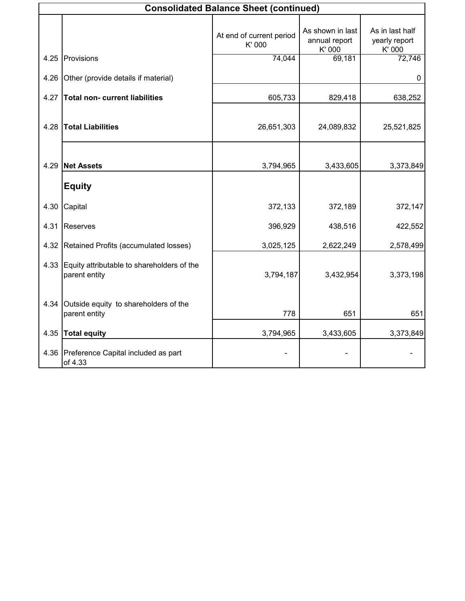|      | <b>Consolidated Balance Sheet (continued)</b>               |                                    |                                             |                                            |  |
|------|-------------------------------------------------------------|------------------------------------|---------------------------------------------|--------------------------------------------|--|
|      |                                                             | At end of current period<br>K' 000 | As shown in last<br>annual report<br>K' 000 | As in last half<br>yearly report<br>K' 000 |  |
| 4.25 | Provisions                                                  | 74,044                             | 69,181                                      | 72,746                                     |  |
| 4.26 | Other (provide details if material)                         |                                    |                                             | 0                                          |  |
| 4.27 | <b>Total non- current liabilities</b>                       | 605,733                            | 829,418                                     | 638,252                                    |  |
| 4.28 | <b>Total Liabilities</b>                                    | 26,651,303                         | 24,089,832                                  | 25,521,825                                 |  |
| 4.29 | <b>Net Assets</b>                                           | 3,794,965                          | 3,433,605                                   | 3,373,849                                  |  |
|      | <b>Equity</b>                                               |                                    |                                             |                                            |  |
| 4.30 | Capital                                                     | 372,133                            | 372,189                                     | 372,147                                    |  |
| 4.31 | Reserves                                                    | 396,929                            | 438,516                                     | 422,552                                    |  |
| 4.32 | Retained Profits (accumulated losses)                       | 3,025,125                          | 2,622,249                                   | 2,578,499                                  |  |
| 4.33 | Equity attributable to shareholders of the<br>parent entity | 3,794,187                          | 3,432,954                                   | 3,373,198                                  |  |
| 4.34 | Outside equity to shareholders of the<br>parent entity      | 778                                | 651                                         | 651                                        |  |
| 4.35 | <b>Total equity</b>                                         | 3,794,965                          | 3,433,605                                   | 3,373,849                                  |  |
| 4.36 | Preference Capital included as part<br>of 4.33              |                                    |                                             |                                            |  |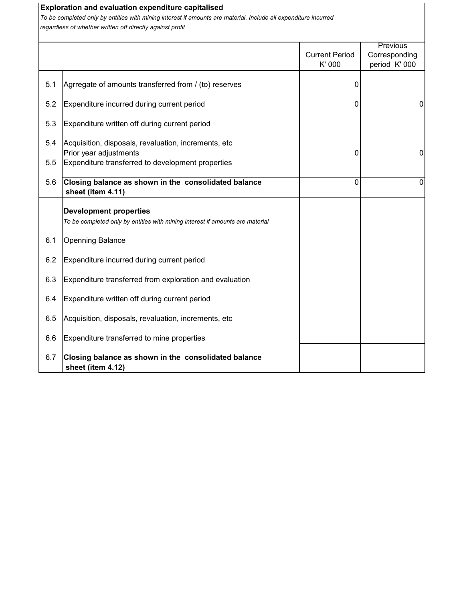|            | Exploration and evaluation expenditure capitalised<br>To be completed only by entities with mining interest if amounts are material. Include all expenditure incurred<br>regardless of whether written off directly against profit |                                 |                                                   |
|------------|------------------------------------------------------------------------------------------------------------------------------------------------------------------------------------------------------------------------------------|---------------------------------|---------------------------------------------------|
|            |                                                                                                                                                                                                                                    | <b>Current Period</b><br>K' 000 | <b>Previous</b><br>Corresponding<br>period K' 000 |
| 5.1        | Agrregate of amounts transferred from / (to) reserves                                                                                                                                                                              | 0                               |                                                   |
| 5.2        | Expenditure incurred during current period                                                                                                                                                                                         | 0                               | $\Omega$                                          |
| 5.3        | Expenditure written off during current period                                                                                                                                                                                      |                                 |                                                   |
| 5.4        | Acquisition, disposals, revaluation, increments, etc<br>Prior year adjustments                                                                                                                                                     | 0                               | 0                                                 |
| 5.5<br>5.6 | Expenditure transferred to development properties<br>Closing balance as shown in the consolidated balance<br>sheet (item 4.11)                                                                                                     | $\Omega$                        | 0                                                 |
|            | <b>Development properties</b><br>To be completed only by entities with mining interest if amounts are material                                                                                                                     |                                 |                                                   |
| 6.1        | <b>Openning Balance</b>                                                                                                                                                                                                            |                                 |                                                   |
| 6.2        | Expenditure incurred during current period                                                                                                                                                                                         |                                 |                                                   |
| 6.3        | Expenditure transferred from exploration and evaluation                                                                                                                                                                            |                                 |                                                   |
| 6.4        | Expenditure written off during current period                                                                                                                                                                                      |                                 |                                                   |
| 6.5        | Acquisition, disposals, revaluation, increments, etc                                                                                                                                                                               |                                 |                                                   |
| 6.6        | Expenditure transferred to mine properties                                                                                                                                                                                         |                                 |                                                   |
| 6.7        | Closing balance as shown in the consolidated balance<br>sheet (item 4.12)                                                                                                                                                          |                                 |                                                   |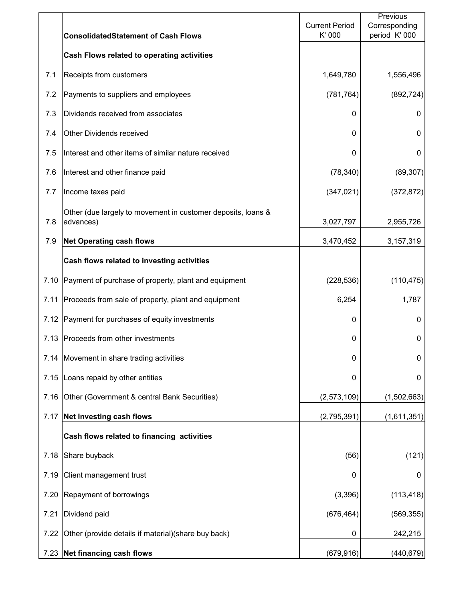|      | <b>ConsolidatedStatement of Cash Flows</b>                                | <b>Current Period</b><br>K' 000 | Previous<br>Corresponding<br>period K' 000 |
|------|---------------------------------------------------------------------------|---------------------------------|--------------------------------------------|
|      | Cash Flows related to operating activities                                |                                 |                                            |
| 7.1  | Receipts from customers                                                   | 1,649,780                       | 1,556,496                                  |
| 7.2  | Payments to suppliers and employees                                       | (781, 764)                      | (892, 724)                                 |
| 7.3  | Dividends received from associates                                        | 0                               | 0                                          |
| 7.4  | <b>Other Dividends received</b>                                           | 0                               | 0                                          |
| 7.5  | Interest and other items of similar nature received                       | 0                               | $\mathbf 0$                                |
| 7.6  | Interest and other finance paid                                           | (78, 340)                       | (89, 307)                                  |
| 7.7  | Income taxes paid                                                         | (347, 021)                      | (372, 872)                                 |
| 7.8  | Other (due largely to movement in customer deposits, loans &<br>advances) | 3,027,797                       | 2,955,726                                  |
| 7.9  | <b>Net Operating cash flows</b>                                           | 3,470,452                       | 3,157,319                                  |
|      | Cash flows related to investing activities                                |                                 |                                            |
| 7.10 | Payment of purchase of property, plant and equipment                      | (228, 536)                      | (110, 475)                                 |
| 7.11 | Proceeds from sale of property, plant and equipment                       | 6,254                           | 1,787                                      |
| 7.12 | Payment for purchases of equity investments                               | 0                               | $\mathbf 0$                                |
| 7.13 | Proceeds from other investments                                           | 0                               | $\pmb{0}$                                  |
|      | 7.14 Movement in share trading activities                                 | 0                               | $\pmb{0}$                                  |
| 7.15 | Loans repaid by other entities                                            | 0                               | $\mathbf 0$                                |
| 7.16 | Other (Government & central Bank Securities)                              | (2,573,109)                     | (1,502,663)                                |
| 7.17 | <b>Net Investing cash flows</b>                                           | (2,795,391)                     | (1,611,351)                                |
|      | Cash flows related to financing activities                                |                                 |                                            |
| 7.18 | Share buyback                                                             | (56)                            | (121)                                      |
| 7.19 | Client management trust                                                   | 0                               | 0                                          |
| 7.20 | Repayment of borrowings                                                   | (3, 396)                        | (113, 418)                                 |
| 7.21 | Dividend paid                                                             | (676, 464)                      | (569, 355)                                 |
| 7.22 | Other (provide details if material) (share buy back)                      | 0                               | 242,215                                    |
| 7.23 | Net financing cash flows                                                  | (679, 916)                      | (440, 679)                                 |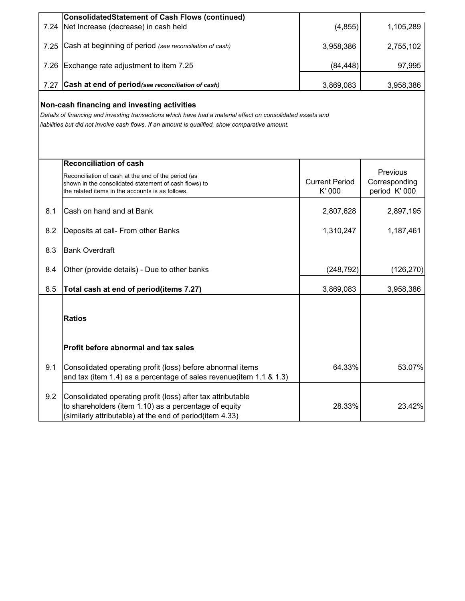|                                                                                                                                                                                                                                                               | ConsolidatedStatement of Cash Flows (continued)                                                                                                                                  |                                |                                            |  |  |
|---------------------------------------------------------------------------------------------------------------------------------------------------------------------------------------------------------------------------------------------------------------|----------------------------------------------------------------------------------------------------------------------------------------------------------------------------------|--------------------------------|--------------------------------------------|--|--|
| 7.24                                                                                                                                                                                                                                                          | Net Increase (decrease) in cash held                                                                                                                                             | (4, 855)                       | 1,105,289                                  |  |  |
| 7.25                                                                                                                                                                                                                                                          | Cash at beginning of period (see reconciliation of cash)                                                                                                                         | 3,958,386                      | 2,755,102                                  |  |  |
| 7.26                                                                                                                                                                                                                                                          | Exchange rate adjustment to item 7.25                                                                                                                                            | (84, 448)                      | 97,995                                     |  |  |
| 7.27                                                                                                                                                                                                                                                          | Cash at end of period (see reconciliation of cash)                                                                                                                               | 3,869,083                      | 3,958,386                                  |  |  |
| Non-cash financing and investing activities<br>Details of financing and investing transactions which have had a material effect on consolidated assets and<br>liabilities but did not involve cash flows. If an amount is qualified, show comparative amount. |                                                                                                                                                                                  |                                |                                            |  |  |
|                                                                                                                                                                                                                                                               | <b>Reconciliation of cash</b>                                                                                                                                                    |                                |                                            |  |  |
|                                                                                                                                                                                                                                                               | Reconciliation of cash at the end of the period (as<br>shown in the consolidated statement of cash flows) to<br>the related items in the accounts is as follows.                 | <b>Current Period</b><br>K'000 | Previous<br>Corresponding<br>period K' 000 |  |  |
| 8.1                                                                                                                                                                                                                                                           | Cash on hand and at Bank                                                                                                                                                         | 2,807,628                      | 2,897,195                                  |  |  |
| 8.2                                                                                                                                                                                                                                                           | Deposits at call- From other Banks                                                                                                                                               | 1,310,247                      | 1,187,461                                  |  |  |
| 8.3                                                                                                                                                                                                                                                           | <b>Bank Overdraft</b>                                                                                                                                                            |                                |                                            |  |  |
| 8.4                                                                                                                                                                                                                                                           | Other (provide details) - Due to other banks                                                                                                                                     | (248, 792)                     | (126, 270)                                 |  |  |
| 8.5                                                                                                                                                                                                                                                           | Total cash at end of period(items 7.27)                                                                                                                                          | 3,869,083                      | 3,958,386                                  |  |  |
|                                                                                                                                                                                                                                                               | <b>Ratios</b>                                                                                                                                                                    |                                |                                            |  |  |
|                                                                                                                                                                                                                                                               | Profit before abnormal and tax sales                                                                                                                                             |                                |                                            |  |  |
| 9.1                                                                                                                                                                                                                                                           | Consolidated operating profit (loss) before abnormal items<br>and tax (item 1.4) as a percentage of sales revenue(item 1.1 & 1.3)                                                | 64.33%                         | 53.07%                                     |  |  |
| 9.2                                                                                                                                                                                                                                                           | Consolidated operating profit (loss) after tax attributable<br>to shareholders (item 1.10) as a percentage of equity<br>(similarly attributable) at the end of period(item 4.33) | 28.33%                         | 23.42%                                     |  |  |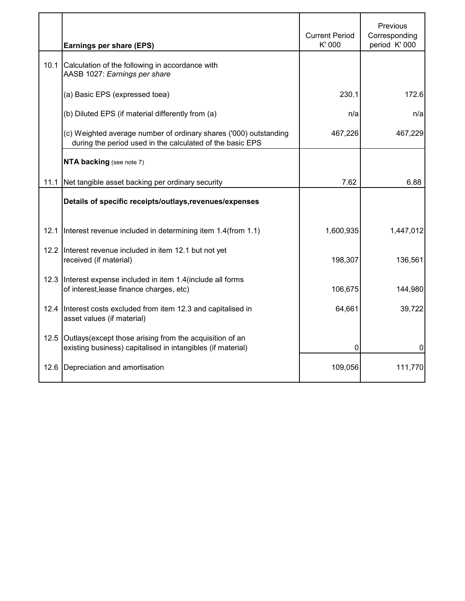|      | Earnings per share (EPS)                                                                                                       | <b>Current Period</b><br>K' 000 | Previous<br>Corresponding<br>period K' 000 |
|------|--------------------------------------------------------------------------------------------------------------------------------|---------------------------------|--------------------------------------------|
| 10.1 | Calculation of the following in accordance with<br>AASB 1027: Earnings per share                                               |                                 |                                            |
|      | (a) Basic EPS (expressed toea)                                                                                                 | 230.1                           | 172.6                                      |
|      | (b) Diluted EPS (if material differently from (a)                                                                              | n/a                             | n/a                                        |
|      | (c) Weighted average number of ordinary shares ('000) outstanding<br>during the period used in the calculated of the basic EPS | 467,226                         | 467,229                                    |
|      | NTA backing (see note 7)                                                                                                       |                                 |                                            |
| 11.1 | Net tangible asset backing per ordinary security                                                                               | 7.62                            | 6.88                                       |
|      | Details of specific receipts/outlays, revenues/expenses                                                                        |                                 |                                            |
| 12.1 | Interest revenue included in determining item 1.4(from 1.1)                                                                    | 1,600,935                       | 1,447,012                                  |
| 12.2 | Interest revenue included in item 12.1 but not yet<br>received (if material)                                                   | 198,307                         | 136,561                                    |
| 12.3 | Interest expense included in item 1.4 (include all forms<br>of interest, lease finance charges, etc)                           | 106,675                         | 144,980                                    |
|      | 12.4 Interest costs excluded from item 12.3 and capitalised in<br>asset values (if material)                                   | 64,661                          | 39,722                                     |
| 12.5 | Outlays (except those arising from the acquisition of an<br>existing business) capitalised in intangibles (if material)        | 0                               | 0                                          |
| 12.6 | Depreciation and amortisation                                                                                                  | 109,056                         | 111,770                                    |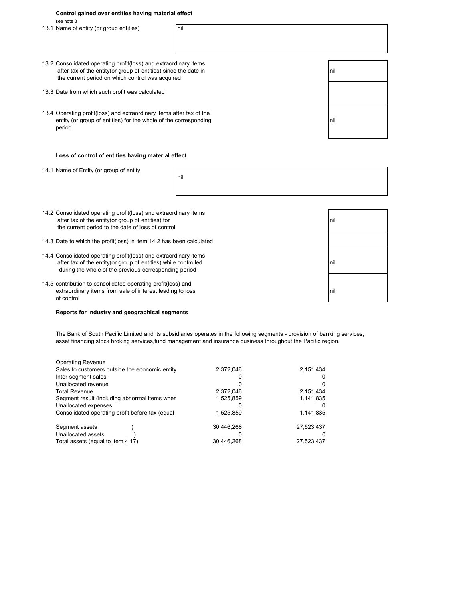| Control gained over entities having material effect |  |
|-----------------------------------------------------|--|
| see note 8                                          |  |

13.1 Name of entity (or group entities) and nill

| 13.2 Consolidated operating profit(loss) and extraordinary items<br>after tax of the entity (or group of entities) since the date in<br>the current period on which control was acquired | nil  |
|------------------------------------------------------------------------------------------------------------------------------------------------------------------------------------------|------|
| 13.3 Date from which such profit was calculated                                                                                                                                          |      |
| 13.4 Operating profit(loss) and extraordinary items after tax of the<br>entity (or group of entities) for the whole of the corresponding<br>period                                       | Inil |

#### **Loss of control of entities having material effect**

14.1 Name of Entity (or group of entity

nil

- 14.2 Consolidated operating profit(loss) and extraordinary items after tax of the entity(or group of entities) for nill and the nill and the state of the entity(or group of entities) for the current period to the date of loss of control
- 14.3 Date to which the profit(loss) in item 14.2 has been calculated
- 14.4 Consolidated operating profit(loss) and extraordinary items after tax of the entity(or group of entities) while controlled nill and the state nill nill during the whole of the previous corresponding period
- 14.5 contribution to consolidated operating profit(loss) and extraordinary items from sale of interest leading to loss nill and the state of product  $\vert$  nill of control

#### **Reports for industry and geographical segments**

The Bank of South Pacific Limited and its subsidiaries operates in the following segments - provision of banking services, asset financing,stock broking services,fund management and insurance business throughout the Pacific region.

| <b>Operating Revenue</b>                        |            |            |
|-------------------------------------------------|------------|------------|
| Sales to customers outside the economic entity  | 2,372,046  | 2,151,434  |
| Inter-segment sales                             |            |            |
| Unallocated revenue                             | 0          |            |
| <b>Total Revenue</b>                            | 2,372,046  | 2,151,434  |
| Segment result (including abnormal items wher   | 1,525,859  | 1,141,835  |
| Unallocated expenses                            | O          |            |
| Consolidated operating profit before tax (equal | 1,525,859  | 1,141,835  |
| Segment assets                                  | 30,446,268 | 27,523,437 |
| Unallocated assets                              |            |            |
| Total assets (equal to item 4.17)               | 30.446.268 | 27,523,437 |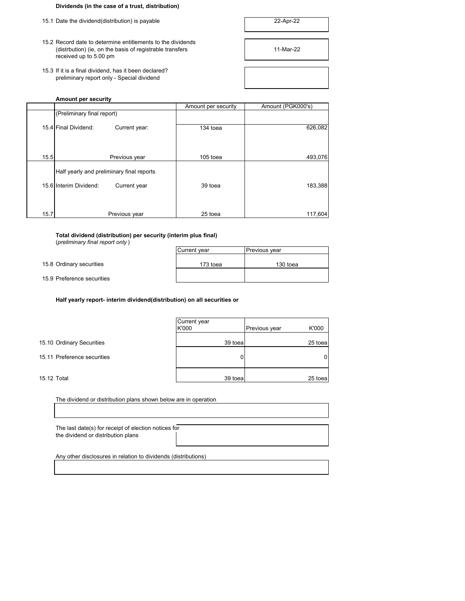### **Dividends (in the case of a trust, distribution)**

- 15.1 Date the dividend(distribution) is payable
- 15.2 Record date to determine entitlements to the dividends (distrbution) (ie, on the basis of registrable transfers 11-Mar-22 received up to 5.00 pm
- 15.3 If it is a final dividend, has it been declared? preliminary report only - Special dividend

| 22-Apr-22 |  |
|-----------|--|
|           |  |



### **Amount per security**

|      |                                           | Amount per security | Amount (PGK000's) |
|------|-------------------------------------------|---------------------|-------------------|
|      | (Preliminary final report)                |                     |                   |
|      | 15.4 Final Dividend:<br>Current year:     | 134 toea            | 626,082           |
| 15.5 | Previous year                             | 105 toea            | 493,076           |
|      | Half yearly and preliminary final reports |                     |                   |
|      | 15.6 Interim Dividend:<br>Current year    | 39 toea             | 183,388           |
| 15.7 | Previous year                             | 25 toea             | 117,604           |

**Total dividend (distribution) per security (interim plus final)** (*preliminary final report only* )

| Current year | Previous year |
|--------------|---------------|
| 173 toea     | 130 toea      |
|              |               |

15.8 Ordinary securities

15.9 Preference securities

**Half yearly report- interim dividend(distribution) on all securities or**

|                             | Current year<br>K'000 | Previous year | K'000   |
|-----------------------------|-----------------------|---------------|---------|
| 15.10 Ordinary Securities   | 39 toea               |               | 25 toea |
| 15.11 Preference securities |                       |               | 0       |
| 15.12 Total                 | 39 toeal              |               | 25 toea |

| The dividend or distribution plans shown below are in operation                            |  |
|--------------------------------------------------------------------------------------------|--|
|                                                                                            |  |
| The last date(s) for receipt of election notices for<br>the dividend or distribution plans |  |
| Any other disclosures in relation to dividends (distributions)                             |  |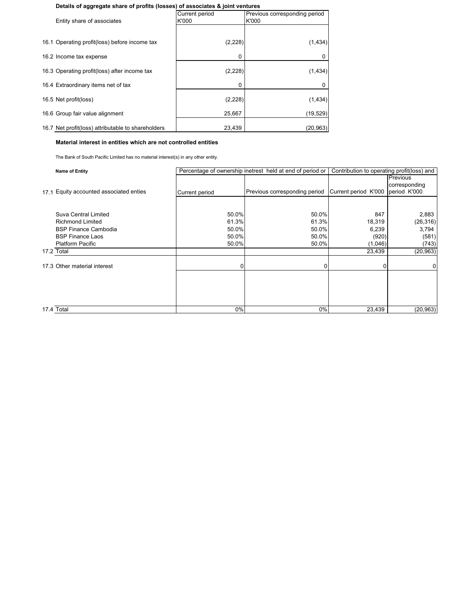#### **Details of aggregate share of profits (losses) of associates & joint ventures**

| Entity share of associates                         | <b>Current period</b><br>K'000 | Previous corresponding period<br>K'000 |
|----------------------------------------------------|--------------------------------|----------------------------------------|
|                                                    |                                |                                        |
| 16.1 Operating profit(loss) before income tax      | (2, 228)                       | (1, 434)                               |
| 16.2 Income tax expense                            | 0                              | 0                                      |
| 16.3 Operating profit(loss) after income tax       | (2, 228)                       | (1, 434)                               |
| 16.4 Extraordinary items net of tax                | 0                              |                                        |
| 16.5 Net profit(loss)                              | (2, 228)                       | (1, 434)                               |
| 16.6 Group fair value alignment                    | 25,667                         | (19, 529)                              |
| 16.7 Net profit(loss) attributable to shareholders | 23,439                         | (20, 963)                              |

**Material interest in entities which are not controlled entities**

The Bank of South Pacific Limited has no material interest(s) in any other entity.

| <b>Name of Entity</b>                      |                | Percentage of ownership inetrest held at end of period or | Contribution to operating profit(loss) and |                 |
|--------------------------------------------|----------------|-----------------------------------------------------------|--------------------------------------------|-----------------|
|                                            |                |                                                           |                                            | <b>Previous</b> |
|                                            |                |                                                           |                                            | corresponding   |
| Equity accounted associated enties<br>17.1 | Current period | Previous corresponding period                             | Current period K'000                       | period K'000    |
|                                            |                |                                                           |                                            |                 |
| Suva Central Limited                       | 50.0%          | 50.0%                                                     | 847                                        | 2,883           |
| <b>Richmond Limited</b>                    | 61.3%          | 61.3%                                                     | 18,319                                     | (26, 316)       |
| <b>BSP Finance Cambodia</b>                | 50.0%          | 50.0%                                                     | 6,239                                      | 3,794           |
| <b>BSP Finance Laos</b>                    | 50.0%          | 50.0%                                                     | (920)                                      | (581)           |
| <b>Platform Pacific</b>                    | 50.0%          | 50.0%                                                     | (1,046)                                    | (743)           |
| 17.2 Total                                 |                |                                                           | 23,439                                     | (20, 963)       |
|                                            |                |                                                           |                                            |                 |
| 17.3 Other material interest               | $\Omega$       | U                                                         |                                            |                 |
|                                            |                |                                                           |                                            |                 |
|                                            |                |                                                           |                                            |                 |
|                                            |                |                                                           |                                            |                 |
|                                            |                |                                                           |                                            |                 |
| 17.4 Total                                 | 0%             | 0%                                                        | 23,439                                     | (20, 963)       |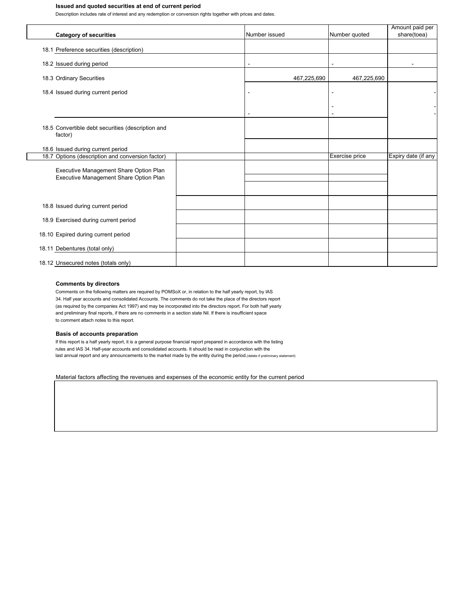#### **Issued and quoted securities at end of current period**

Description includes rate of interest and any redemption or conversion rights together with prices and dates.

| <b>Category of securities</b>                                | Number issued | Number quoted                              | Amount paid per<br>share(toea) |
|--------------------------------------------------------------|---------------|--------------------------------------------|--------------------------------|
|                                                              |               |                                            |                                |
| 18.1 Preference securities (description)                     |               |                                            |                                |
| 18.2 Issued during period                                    |               |                                            |                                |
| 18.3 Ordinary Securities                                     | 467,225,690   | 467,225,690                                |                                |
| 18.4 Issued during current period                            |               | ٠                                          |                                |
|                                                              |               | $\overline{\phantom{a}}$<br>$\blacksquare$ |                                |
| 18.5 Convertible debt securities (description and<br>factor) |               |                                            |                                |
| 18.6 Issued during current period                            |               |                                            |                                |
| 18.7 Options (description and conversion factor)             |               | Exercise price                             | Expiry date (if any            |
| Executive Management Share Option Plan                       |               |                                            |                                |
| Executive Management Share Option Plan                       |               |                                            |                                |
|                                                              |               |                                            |                                |
| 18.8 Issued during current period                            |               |                                            |                                |
| 18.9 Exercised during current period                         |               |                                            |                                |
| 18.10 Expired during current period                          |               |                                            |                                |
| 18.11 Debentures (total only)                                |               |                                            |                                |
| 18.12 Unsecured notes (totals only)                          |               |                                            |                                |

#### **Comments by directors**

Comments on the following matters are required by POMSoX or, in relation to the half yearly report, by IAS 34. Half year accounts and consolidated Accounts. The comments do not take the place of the directors report (as required by the companies Act 1997) and may be incorporated into the directors report. For both half yearly and preliminary final reports, if there are no comments in a section state Nil. If there is insufficient space to comment attach notes to this report.

#### **Basis of accounts preparation**

If this report is a half yearly report, it is a general purpose financial report prepared in accordance with the listing rules and IAS 34. Half-year accounts and consolidated accounts. It should be read in conjunction with the last annual report and any announcements to the market made by the entity during the period.(delete if preliminary statement)

Material factors affecting the revenues and expenses of the economic entity for the current period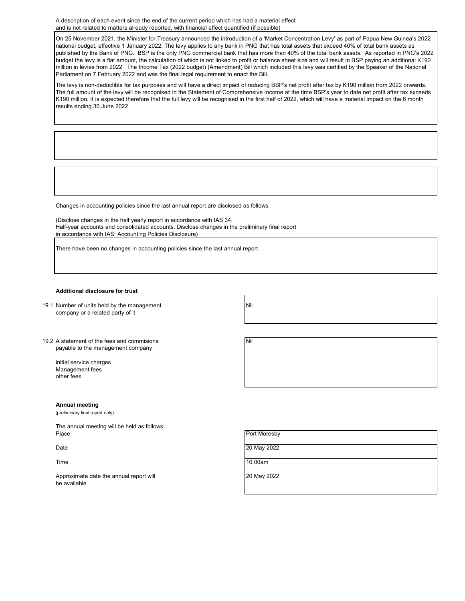A description of each event since the end of the current period which has had a material effect and is not related to matters already reported, with financial effect quantified (if possible)

On 25 November 2021, the Minister for Treasury announced the introduction of a 'Market Concentration Levy' as part of Papua New Guinea's 2022 national budget, effective 1 January 2022. The levy applies to any bank in PNG that has total assets that exceed 40% of total bank assets as published by the Bank of PNG. BSP is the only PNG commercial bank that has more than 40% of the total bank assets. As reported in PNG's 2022 budget the levy is a flat amount, the calculation of which is not linked to profit or balance sheet size and will result in BSP paying an additional K190 million in levies from 2022. The Income Tax (2022 budget) (Amendment) Bill which included this levy was certified by the Speaker of the National Parliament on 7 February 2022 and was the final legal requirement to enact the Bill.

The levy is non-deductible for tax purposes and will have a direct impact of reducing BSP's net profit after tax by K190 million from 2022 onwards. The full amount of the levy will be recognised in the Statement of Comprehensive Income at the time BSP's year to date net profit after tax exceeds K190 million. It is expected therefore that the full levy will be recognised in the first half of 2022, which will have a material impact on the 6 month results ending 30 June 2022.

Changes in accounting policies since the last annual report are disclosed as follows

(Disclose changes in the half yearly report in accordance with IAS 34. Half-year accounts and consolidated accounts. Disclose changes in the preliminary final report in accordance with IAS: Accounting Policies Disclosure)

There have been no changes in accounting policies since the last annual report

#### **Additional disclosure for trust**

- 19.1 Number of units held by the management Nil company or a related party of it
	-
- 19.2 A statement of the fees and commisions Nil payable to the management company

initial service charges Management fees other fees

#### **Annual meeting**

(preliminary final report only)

The annual meeting will be held as follows: Place **Provides a Port Moresby** Port Moresby

Time 10.00am

Approximate date the annual report will **Example 20 and Separate 20 May 2022** be available



| The annual meeting will be neld as follows. |              |
|---------------------------------------------|--------------|
| Place                                       | Port Moresby |
|                                             |              |
|                                             |              |
| Date                                        | 20 May 2022  |
|                                             |              |
|                                             |              |
| $\mathbf{r}$                                | $\sqrt{2}$   |